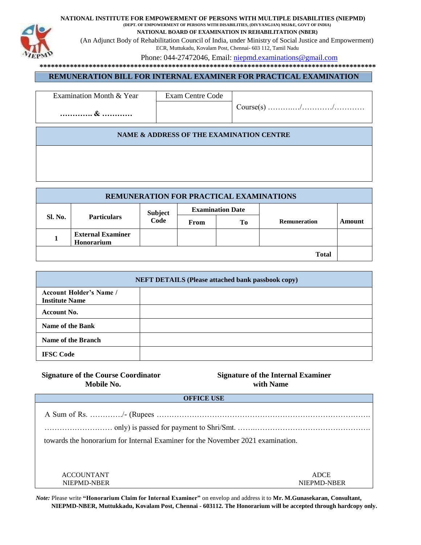

**NATIONAL INSTITUTE FOR EMPOWERMENT OF PERSONS WITH MULTIPLE DISABILITIES (NIEPMD)** 

**(DEPT. OF EMPOWERMENT OF PERSONS WITH DISABILITIES, (DIVYANGJAN) MSJ&E, GOVT OF INDIA) NATIONAL BOARD OF EXAMINATION IN REHABILITATION (NBER)** 

(An Adjunct Body of Rehabilitation Council of India, under Ministry of Social Justice and Empowerment) ECR, Muttukadu, Kovalam Post, Chennai- 603 112, Tamil Nadu

Phone: 044-27472046, Email: niepmd.examinations@gmail.com

**\*\*\*\*\*\*\*\*\*\*\*\*\*\*\*\*\*\*\*\*\*\*\*\*\*\*\*\*\*\*\*\*\*\*\*\*\*\*\*\*\*\*\*\*\*\*\*\*\*\*\*\*\*\*\*\*\*\*\*\*\*\*\*\*\*\*\*\*\*\*\*\*\*\*\*\*\*\*\*\*\*\*\*\*\*\*\*\*\*** 

## **REMUNERATION BILL FOR INTERNAL EXAMINER FOR PRACTICAL EXAMINATION**

| Examination Month & Year | Exam Centre Code |  |
|--------------------------|------------------|--|
| &                        |                  |  |

## **NAME & ADDRESS OF THE EXAMINATION CENTRE**

| REMUNERATION FOR PRACTICAL EXAMINATIONS |                                        |                         |      |    |                     |        |
|-----------------------------------------|----------------------------------------|-------------------------|------|----|---------------------|--------|
| Sl. No.<br><b>Particulars</b>           | <b>Subject</b>                         | <b>Examination Date</b> |      |    |                     |        |
|                                         |                                        | Code                    | From | Tо | <b>Remuneration</b> | Amount |
|                                         | <b>External Examiner</b><br>Honorarium |                         |      |    |                     |        |
|                                         |                                        |                         |      |    | <b>Total</b>        |        |

| <b>NEFT DETAILS (Please attached bank passbook copy)</b> |  |  |  |  |
|----------------------------------------------------------|--|--|--|--|
| <b>Account Holder's Name /</b><br><b>Institute Name</b>  |  |  |  |  |
| <b>Account No.</b>                                       |  |  |  |  |
| Name of the Bank                                         |  |  |  |  |
| Name of the Branch                                       |  |  |  |  |
| <b>IFSC Code</b>                                         |  |  |  |  |

# **Signature of the Course Coordinator Signature of the Internal Examiner Mobile No.** with Name

**OFFICE USE**  A Sum of Rs. …………./- (Rupees …………………………………………………………………………. ……………………… only) is passed for payment to Shri/Smt. …….………………………………………. towards the honorarium for Internal Examiner for the November 2021 examination. ACCOUNTANT ADCE NIEPMD-NBER NIEPMD-NBER

 *Note:* Please write **"Honorarium Claim for Internal Examiner"** on envelop and address it to **Mr. M.Gunasekaran, Consultant,**  **NIEPMD-NBER, Muttukkadu, Kovalam Post, Chennai - 603112. The Honorarium will be accepted through hardcopy only.**